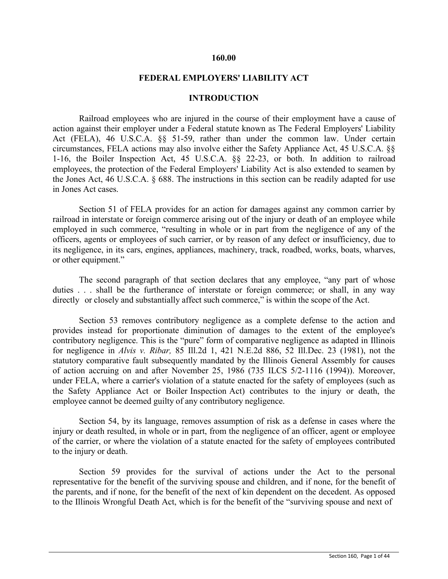#### **160.00**

#### **FEDERAL EMPLOYERS' LIABILITY ACT**

## **INTRODUCTION**

Railroad employees who are injured in the course of their employment have a cause of action against their employer under a Federal statute known as The Federal Employers' Liability Act (FELA), 46 U.S.C.A. §§ 51-59, rather than under the common law. Under certain circumstances, FELA actions may also involve either the Safety Appliance Act, 45 U.S.C.A. §§ 1-16, the Boiler Inspection Act, 45 U.S.C.A. §§ 22-23, or both. In addition to railroad employees, the protection of the Federal Employers' Liability Act is also extended to seamen by the Jones Act, 46 U.S.C.A. § 688. The instructions in this section can be readily adapted for use in Jones Act cases.

Section 51 of FELA provides for an action for damages against any common carrier by railroad in interstate or foreign commerce arising out of the injury or death of an employee while employed in such commerce, "resulting in whole or in part from the negligence of any of the officers, agents or employees of such carrier, or by reason of any defect or insufficiency, due to its negligence, in its cars, engines, appliances, machinery, track, roadbed, works, boats, wharves, or other equipment."

The second paragraph of that section declares that any employee, "any part of whose duties . . . shall be the furtherance of interstate or foreign commerce; or shall, in any way directly or closely and substantially affect such commerce," is within the scope of the Act.

Section 53 removes contributory negligence as a complete defense to the action and provides instead for proportionate diminution of damages to the extent of the employee's contributory negligence. This is the "pure" form of comparative negligence as adapted in Illinois for negligence in *Alvis v. Ribar,* 85 Ill.2d 1, 421 N.E.2d 886, 52 Ill.Dec. 23 (1981), not the statutory comparative fault subsequently mandated by the Illinois General Assembly for causes of action accruing on and after November 25, 1986 (735 ILCS 5/2-1116 (1994)). Moreover, under FELA, where a carrier's violation of a statute enacted for the safety of employees (such as the Safety Appliance Act or Boiler Inspection Act) contributes to the injury or death, the employee cannot be deemed guilty of any contributory negligence.

Section 54, by its language, removes assumption of risk as a defense in cases where the injury or death resulted, in whole or in part, from the negligence of an officer, agent or employee of the carrier, or where the violation of a statute enacted for the safety of employees contributed to the injury or death.

Section 59 provides for the survival of actions under the Act to the personal representative for the benefit of the surviving spouse and children, and if none, for the benefit of the parents, and if none, for the benefit of the next of kin dependent on the decedent. As opposed to the Illinois Wrongful Death Act, which is for the benefit of the "surviving spouse and next of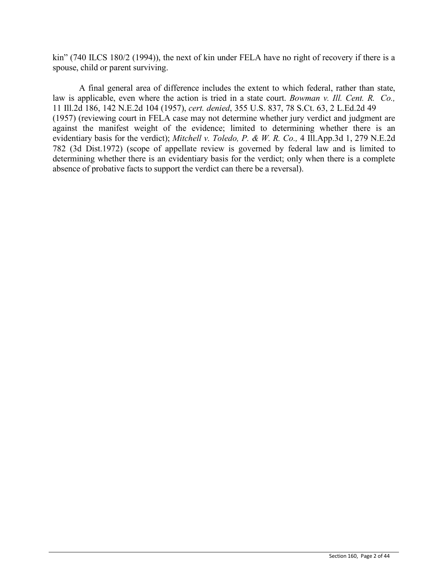kin" (740 ILCS 180/2 (1994)), the next of kin under FELA have no right of recovery if there is a spouse, child or parent surviving.

A final general area of difference includes the extent to which federal, rather than state, law is applicable, even where the action is tried in a state court. *Bowman v. Ill. Cent. R. Co.,* 11 Ill.2d 186, 142 N.E.2d 104 (1957), *cert. denied*, 355 U.S. 837, 78 S.Ct. 63, 2 L.Ed.2d 49 (1957) (reviewing court in FELA case may not determine whether jury verdict and judgment are against the manifest weight of the evidence; limited to determining whether there is an evidentiary basis for the verdict); *Mitchell v. Toledo, P. & W. R. Co.,* 4 Ill.App.3d 1, 279 N.E.2d 782 (3d Dist.1972) (scope of appellate review is governed by federal law and is limited to determining whether there is an evidentiary basis for the verdict; only when there is a complete absence of probative facts to support the verdict can there be a reversal).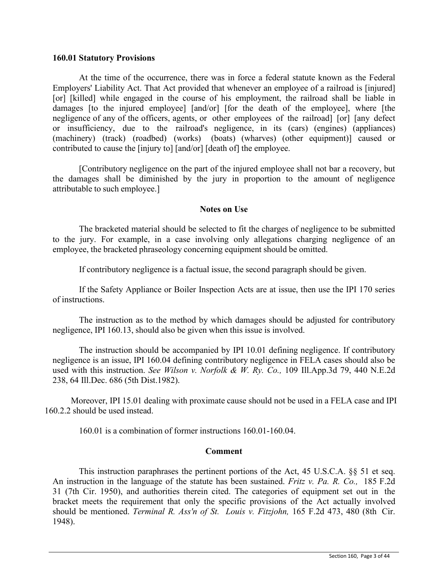#### **160.01 Statutory Provisions**

At the time of the occurrence, there was in force a federal statute known as the Federal Employers' Liability Act. That Act provided that whenever an employee of a railroad is [injured] [or] [killed] while engaged in the course of his employment, the railroad shall be liable in damages [to the injured employee] [and/or] [for the death of the employee], where [the negligence of any of the officers, agents, or other employees of the railroad] [or] [any defect or insufficiency, due to the railroad's negligence, in its (cars) (engines) (appliances) (machinery) (track) (roadbed) (works) (boats) (wharves) (other equipment)] caused or contributed to cause the [injury to] [and/or] [death of] the employee.

[Contributory negligence on the part of the injured employee shall not bar a recovery, but the damages shall be diminished by the jury in proportion to the amount of negligence attributable to such employee.]

#### **Notes on Use**

The bracketed material should be selected to fit the charges of negligence to be submitted to the jury. For example, in a case involving only allegations charging negligence of an employee, the bracketed phraseology concerning equipment should be omitted.

If contributory negligence is a factual issue, the second paragraph should be given.

If the Safety Appliance or Boiler Inspection Acts are at issue, then use the IPI 170 series of instructions.

The instruction as to the method by which damages should be adjusted for contributory negligence, IPI 160.13, should also be given when this issue is involved.

The instruction should be accompanied by IPI 10.01 defining negligence. If contributory negligence is an issue, IPI 160.04 defining contributory negligence in FELA cases should also be used with this instruction. *See Wilson v. Norfolk & W. Ry. Co.,* 109 Ill.App.3d 79, 440 N.E.2d 238, 64 Ill.Dec. 686 (5th Dist.1982).

Moreover, IPI 15.01 dealing with proximate cause should not be used in a FELA case and IPI 160.2.2 should be used instead.

160.01 is a combination of former instructions 160.01-160.04.

#### **Comment**

This instruction paraphrases the pertinent portions of the Act, 45 U.S.C.A. §§ 51 et seq. An instruction in the language of the statute has been sustained. *Fritz v. Pa. R. Co.,* 185 F.2d 31 (7th Cir. 1950), and authorities therein cited. The categories of equipment set out in the bracket meets the requirement that only the specific provisions of the Act actually involved should be mentioned. *Terminal R. Ass'n of St. Louis v. Fitzjohn,* 165 F.2d 473, 480 (8th Cir. 1948).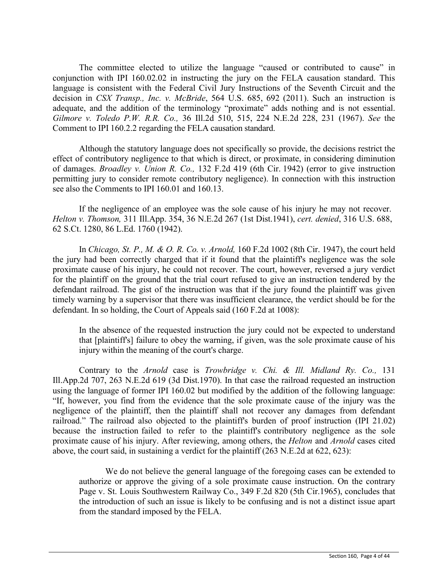The committee elected to utilize the language "caused or contributed to cause" in conjunction with IPI 160.02.02 in instructing the jury on the FELA causation standard. This language is consistent with the Federal Civil Jury Instructions of the Seventh Circuit and the decision in *CSX Transp., Inc. v. McBride*, 564 U.S. 685, 692 (2011). Such an instruction is adequate, and the addition of the terminology "proximate" adds nothing and is not essential. *Gilmore v. Toledo P.W. R.R. Co.,* 36 Ill.2d 510, 515, 224 N.E.2d 228, 231 (1967). *See* the Comment to IPI 160.2.2 regarding the FELA causation standard.

Although the statutory language does not specifically so provide, the decisions restrict the effect of contributory negligence to that which is direct, or proximate, in considering diminution of damages. *Broadley v. Union R. Co.,* 132 F.2d 419 (6th Cir. 1942) (error to give instruction permitting jury to consider remote contributory negligence). In connection with this instruction see also the Comments to IPI 160.01 and 160.13.

If the negligence of an employee was the sole cause of his injury he may not recover. *Helton v. Thomson,* 311 Ill.App. 354, 36 N.E.2d 267 (1st Dist.1941), *cert. denied*, 316 U.S. 688, 62 S.Ct. 1280, 86 L.Ed. 1760 (1942).

In *Chicago, St. P., M. & O. R. Co. v. Arnold,* 160 F.2d 1002 (8th Cir. 1947), the court held the jury had been correctly charged that if it found that the plaintiff's negligence was the sole proximate cause of his injury, he could not recover. The court, however, reversed a jury verdict for the plaintiff on the ground that the trial court refused to give an instruction tendered by the defendant railroad. The gist of the instruction was that if the jury found the plaintiff was given timely warning by a supervisor that there was insufficient clearance, the verdict should be for the defendant. In so holding, the Court of Appeals said (160 F.2d at 1008):

In the absence of the requested instruction the jury could not be expected to understand that [plaintiff's] failure to obey the warning, if given, was the sole proximate cause of his injury within the meaning of the court's charge.

Contrary to the *Arnold* case is *Trowbridge v. Chi. & Ill. Midland Ry. Co.,* 131 Ill.App.2d 707, 263 N.E.2d 619 (3d Dist.1970). In that case the railroad requested an instruction using the language of former IPI 160.02 but modified by the addition of the following language: "If, however, you find from the evidence that the sole proximate cause of the injury was the negligence of the plaintiff, then the plaintiff shall not recover any damages from defendant railroad." The railroad also objected to the plaintiff's burden of proof instruction (IPI 21.02) because the instruction failed to refer to the plaintiff's contributory negligence as the sole proximate cause of his injury. After reviewing, among others, the *Helton* and *Arnold* cases cited above, the court said, in sustaining a verdict for the plaintiff (263 N.E.2d at 622, 623):

We do not believe the general language of the foregoing cases can be extended to authorize or approve the giving of a sole proximate cause instruction. On the contrary Page v. St. Louis Southwestern Railway Co., 349 F.2d 820 (5th Cir.1965), concludes that the introduction of such an issue is likely to be confusing and is not a distinct issue apart from the standard imposed by the FELA.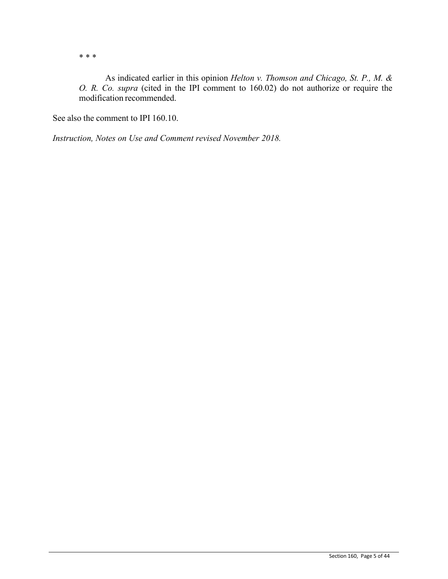\* \* \*

As indicated earlier in this opinion *Helton v. Thomson and Chicago, St. P., M. & O. R. Co. supra* (cited in the IPI comment to 160.02) do not authorize or require the modification recommended.

See also the comment to IPI 160.10.

*Instruction, Notes on Use and Comment revised November 2018.*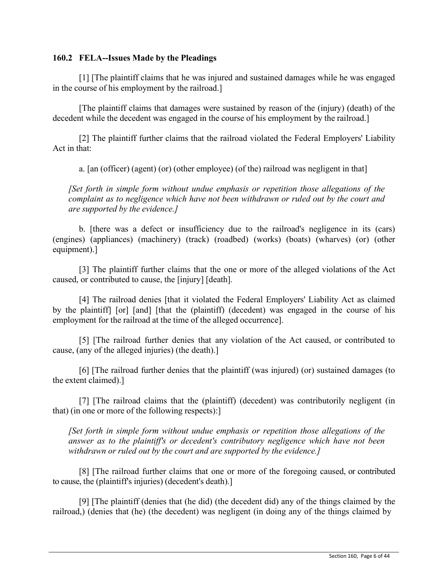## **160.2 FELA--Issues Made by the Pleadings**

[1] [The plaintiff claims that he was injured and sustained damages while he was engaged in the course of his employment by the railroad.]

[The plaintiff claims that damages were sustained by reason of the (injury) (death) of the decedent while the decedent was engaged in the course of his employment by the railroad.]

[2] The plaintiff further claims that the railroad violated the Federal Employers' Liability Act in that:

a. [an (officer) (agent) (or) (other employee) (of the) railroad was negligent in that]

*[Set forth in simple form without undue emphasis or repetition those allegations of the complaint as to negligence which have not been withdrawn or ruled out by the court and are supported by the evidence.]*

b. [there was a defect or insufficiency due to the railroad's negligence in its (cars) (engines) (appliances) (machinery) (track) (roadbed) (works) (boats) (wharves) (or) (other equipment).]

[3] The plaintiff further claims that the one or more of the alleged violations of the Act caused, or contributed to cause, the [injury] [death].

[4] The railroad denies [that it violated the Federal Employers' Liability Act as claimed by the plaintiff] [or] [and] [that the (plaintiff) (decedent) was engaged in the course of his employment for the railroad at the time of the alleged occurrence].

[5] [The railroad further denies that any violation of the Act caused, or contributed to cause, (any of the alleged injuries) (the death).]

[6] [The railroad further denies that the plaintiff (was injured) (or) sustained damages (to the extent claimed).]

[7] [The railroad claims that the (plaintiff) (decedent) was contributorily negligent (in that) (in one or more of the following respects):]

*[Set forth in simple form without undue emphasis or repetition those allegations of the answer as to the plaintiff's or decedent's contributory negligence which have not been withdrawn or ruled out by the court and are supported by the evidence.]*

[8] [The railroad further claims that one or more of the foregoing caused, or contributed to cause, the (plaintiff's injuries) (decedent's death).]

[9] [The plaintiff (denies that (he did) (the decedent did) any of the things claimed by the railroad,) (denies that (he) (the decedent) was negligent (in doing any of the things claimed by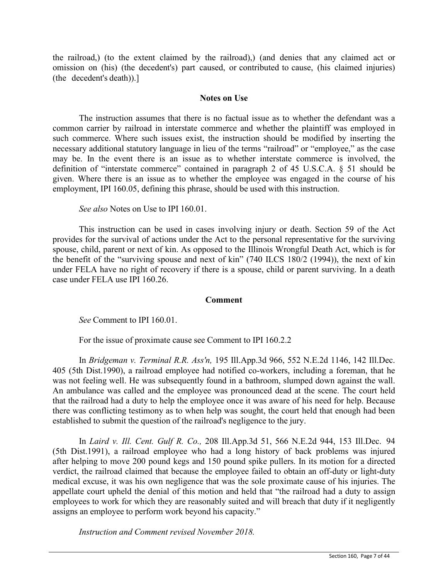the railroad,) (to the extent claimed by the railroad),) (and denies that any claimed act or omission on (his) (the decedent's) part caused, or contributed to cause, (his claimed injuries) (the decedent's death)).]

## **Notes on Use**

The instruction assumes that there is no factual issue as to whether the defendant was a common carrier by railroad in interstate commerce and whether the plaintiff was employed in such commerce. Where such issues exist, the instruction should be modified by inserting the necessary additional statutory language in lieu of the terms "railroad" or "employee," as the case may be. In the event there is an issue as to whether interstate commerce is involved, the definition of "interstate commerce" contained in paragraph 2 of 45 U.S.C.A. § 51 should be given. Where there is an issue as to whether the employee was engaged in the course of his employment, IPI 160.05, defining this phrase, should be used with this instruction.

*See also* Notes on Use to IPI 160.01.

This instruction can be used in cases involving injury or death. Section 59 of the Act provides for the survival of actions under the Act to the personal representative for the surviving spouse, child, parent or next of kin. As opposed to the Illinois Wrongful Death Act, which is for the benefit of the "surviving spouse and next of kin" (740 ILCS 180/2 (1994)), the next of kin under FELA have no right of recovery if there is a spouse, child or parent surviving. In a death case under FELA use IPI 160.26.

## **Comment**

*See* Comment to IPI 160.01.

For the issue of proximate cause see Comment to IPI 160.2.2

In *Bridgeman v. Terminal R.R. Ass'n,* 195 Ill.App.3d 966, 552 N.E.2d 1146, 142 Ill.Dec. 405 (5th Dist.1990), a railroad employee had notified co-workers, including a foreman, that he was not feeling well. He was subsequently found in a bathroom, slumped down against the wall. An ambulance was called and the employee was pronounced dead at the scene. The court held that the railroad had a duty to help the employee once it was aware of his need for help. Because there was conflicting testimony as to when help was sought, the court held that enough had been established to submit the question of the railroad's negligence to the jury.

In *Laird v. Ill. Cent. Gulf R. Co.,* 208 Ill.App.3d 51, 566 N.E.2d 944, 153 Ill.Dec. 94 (5th Dist.1991), a railroad employee who had a long history of back problems was injured after helping to move 200 pound kegs and 150 pound spike pullers. In its motion for a directed verdict, the railroad claimed that because the employee failed to obtain an off-duty or light-duty medical excuse, it was his own negligence that was the sole proximate cause of his injuries. The appellate court upheld the denial of this motion and held that "the railroad had a duty to assign employees to work for which they are reasonably suited and will breach that duty if it negligently assigns an employee to perform work beyond his capacity."

*Instruction and Comment revised November 2018.*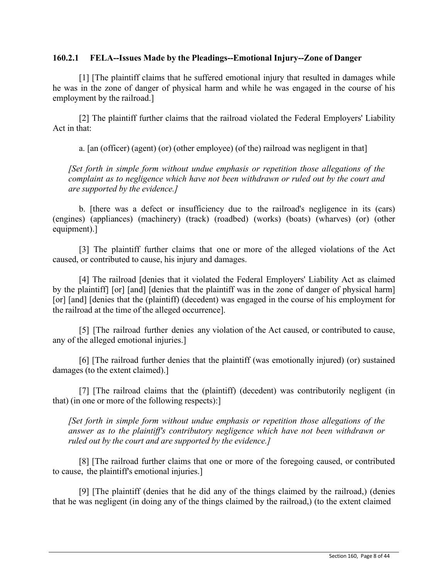## **160.2.1 FELA--Issues Made by the Pleadings--Emotional Injury--Zone of Danger**

[1] [The plaintiff claims that he suffered emotional injury that resulted in damages while he was in the zone of danger of physical harm and while he was engaged in the course of his employment by the railroad.]

[2] The plaintiff further claims that the railroad violated the Federal Employers' Liability Act in that:

a. [an (officer) (agent) (or) (other employee) (of the) railroad was negligent in that]

*[Set forth in simple form without undue emphasis or repetition those allegations of the complaint as to negligence which have not been withdrawn or ruled out by the court and are supported by the evidence.]*

b. [there was a defect or insufficiency due to the railroad's negligence in its (cars) (engines) (appliances) (machinery) (track) (roadbed) (works) (boats) (wharves) (or) (other equipment).]

[3] The plaintiff further claims that one or more of the alleged violations of the Act caused, or contributed to cause, his injury and damages.

[4] The railroad [denies that it violated the Federal Employers' Liability Act as claimed by the plaintiff] [or] [and] [denies that the plaintiff was in the zone of danger of physical harm] [or] [and] [denies that the (plaintiff) (decedent) was engaged in the course of his employment for the railroad at the time of the alleged occurrence].

[5] [The railroad further denies any violation of the Act caused, or contributed to cause, any of the alleged emotional injuries.]

[6] [The railroad further denies that the plaintiff (was emotionally injured) (or) sustained damages (to the extent claimed).]

[7] [The railroad claims that the (plaintiff) (decedent) was contributorily negligent (in that) (in one or more of the following respects):]

*[Set forth in simple form without undue emphasis or repetition those allegations of the answer as to the plaintiff's contributory negligence which have not been withdrawn or ruled out by the court and are supported by the evidence.]*

[8] [The railroad further claims that one or more of the foregoing caused, or contributed to cause, the plaintiff's emotional injuries.]

[9] [The plaintiff (denies that he did any of the things claimed by the railroad,) (denies that he was negligent (in doing any of the things claimed by the railroad,) (to the extent claimed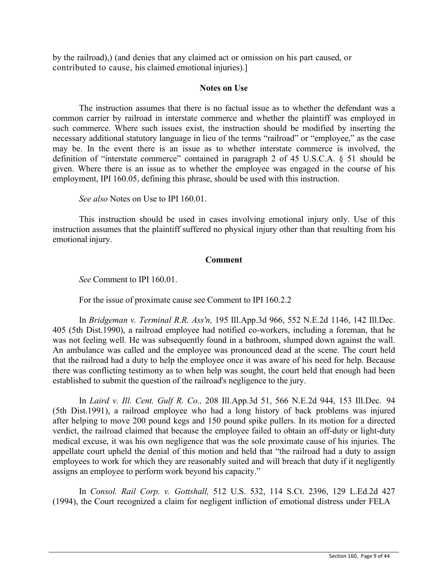by the railroad),) (and denies that any claimed act or omission on his part caused, or contributed to cause, his claimed emotional injuries).]

## **Notes on Use**

The instruction assumes that there is no factual issue as to whether the defendant was a common carrier by railroad in interstate commerce and whether the plaintiff was employed in such commerce. Where such issues exist, the instruction should be modified by inserting the necessary additional statutory language in lieu of the terms "railroad" or "employee," as the case may be. In the event there is an issue as to whether interstate commerce is involved, the definition of "interstate commerce" contained in paragraph 2 of 45 U.S.C.A. § 51 should be given. Where there is an issue as to whether the employee was engaged in the course of his employment, IPI 160.05, defining this phrase, should be used with this instruction.

*See also* Notes on Use to IPI 160.01.

This instruction should be used in cases involving emotional injury only. Use of this instruction assumes that the plaintiff suffered no physical injury other than that resulting from his emotional injury.

## **Comment**

*See* Comment to IPI 160.01.

For the issue of proximate cause see Comment to IPI 160.2.2

In *Bridgeman v. Terminal R.R. Ass'n,* 195 Ill.App.3d 966, 552 N.E.2d 1146, 142 Ill.Dec. 405 (5th Dist.1990), a railroad employee had notified co-workers, including a foreman, that he was not feeling well. He was subsequently found in a bathroom, slumped down against the wall. An ambulance was called and the employee was pronounced dead at the scene. The court held that the railroad had a duty to help the employee once it was aware of his need for help. Because there was conflicting testimony as to when help was sought, the court held that enough had been established to submit the question of the railroad's negligence to the jury.

In *Laird v. Ill. Cent. Gulf R. Co.,* 208 Ill.App.3d 51, 566 N.E.2d 944, 153 Ill.Dec. 94 (5th Dist.1991), a railroad employee who had a long history of back problems was injured after helping to move 200 pound kegs and 150 pound spike pullers. In its motion for a directed verdict, the railroad claimed that because the employee failed to obtain an off-duty or light-duty medical excuse, it was his own negligence that was the sole proximate cause of his injuries. The appellate court upheld the denial of this motion and held that "the railroad had a duty to assign employees to work for which they are reasonably suited and will breach that duty if it negligently assigns an employee to perform work beyond his capacity."

In *Consol. Rail Corp. v. Gottshall,* 512 U.S. 532, 114 S.Ct. 2396, 129 L.Ed.2d 427 (1994), the Court recognized a claim for negligent infliction of emotional distress under FELA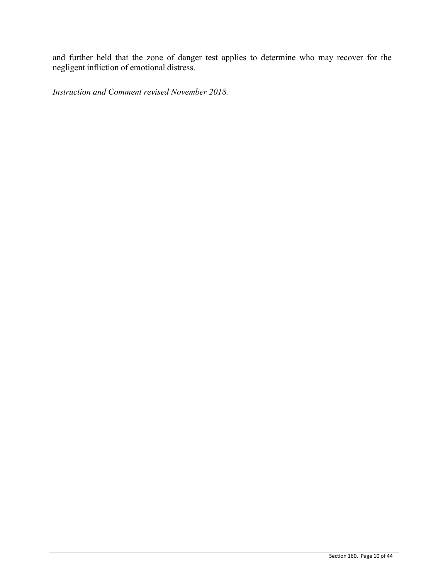and further held that the zone of danger test applies to determine who may recover for the negligent infliction of emotional distress.

*Instruction and Comment revised November 2018.*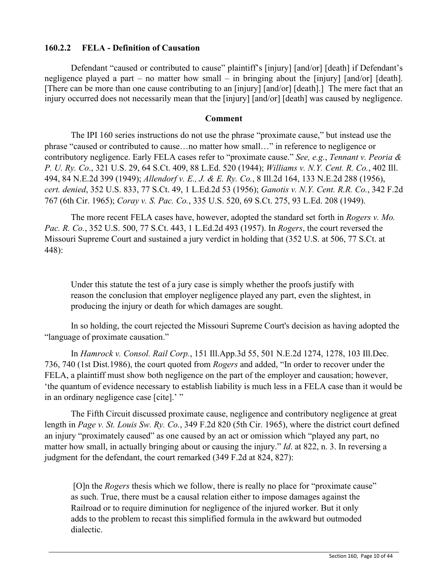## **160.2.2 FELA - Definition of Causation**

Defendant "caused or contributed to cause" plaintiff's [injury] [and/or] [death] if Defendant's negligence played a part – no matter how small – in bringing about the [injury] [and/or] [death]. [There can be more than one cause contributing to an [injury] [and/or] [death].] The mere fact that an injury occurred does not necessarily mean that the [injury] [and/or] [death] was caused by negligence.

## **Comment**

The IPI 160 series instructions do not use the phrase "proximate cause," but instead use the phrase "caused or contributed to cause…no matter how small…" in reference to negligence or contributory negligence. Early FELA cases refer to "proximate cause." *See, e.g.*, *Tennant v. Peoria & P. U. Ry. Co*., 321 U.S. 29, 64 S.Ct. 409, 88 L.Ed. 520 (1944); *Williams v. N.Y. Cent. R. Co.*, 402 Ill. 494, 84 N.E.2d 399 (1949); *Allendorf v. E., J. & E. Ry. Co.*, 8 Ill.2d 164, 133 N.E.2d 288 (1956), *cert. denied*, 352 U.S. 833, 77 S.Ct. 49, 1 L.Ed.2d 53 (1956); *Ganotis v. N.Y. Cent. R.R. Co.*, 342 F.2d 767 (6th Cir. 1965); *Coray v. S. Pac. Co.*, 335 U.S. 520, 69 S.Ct. 275, 93 L.Ed. 208 (1949).

The more recent FELA cases have, however, adopted the standard set forth in *Rogers v. Mo. Pac. R. Co.*, 352 U.S. 500, 77 S.Ct. 443, 1 L.Ed.2d 493 (1957). In *Rogers*, the court reversed the Missouri Supreme Court and sustained a jury verdict in holding that (352 U.S. at 506, 77 S.Ct. at 448):

Under this statute the test of a jury case is simply whether the proofs justify with reason the conclusion that employer negligence played any part, even the slightest, in producing the injury or death for which damages are sought.

In so holding, the court rejected the Missouri Supreme Court's decision as having adopted the "language of proximate causation."

In *Hamrock v. Consol. Rail Corp.*, 151 Ill.App.3d 55, 501 N.E.2d 1274, 1278, 103 Ill.Dec. 736, 740 (1st Dist.1986), the court quoted from *Rogers* and added, "In order to recover under the FELA, a plaintiff must show both negligence on the part of the employer and causation; however, 'the quantum of evidence necessary to establish liability is much less in a FELA case than it would be in an ordinary negligence case [cite].'"

The Fifth Circuit discussed proximate cause, negligence and contributory negligence at great length in *Page v. St. Louis Sw. Ry. Co.*, 349 F.2d 820 (5th Cir. 1965), where the district court defined an injury "proximately caused" as one caused by an act or omission which "played any part, no matter how small, in actually bringing about or causing the injury." *Id*. at 822, n. 3. In reversing a judgment for the defendant, the court remarked (349 F.2d at 824, 827):

[O]n the *Rogers* thesis which we follow, there is really no place for "proximate cause" as such. True, there must be a causal relation either to impose damages against the Railroad or to require diminution for negligence of the injured worker. But it only adds to the problem to recast this simplified formula in the awkward but outmoded dialectic.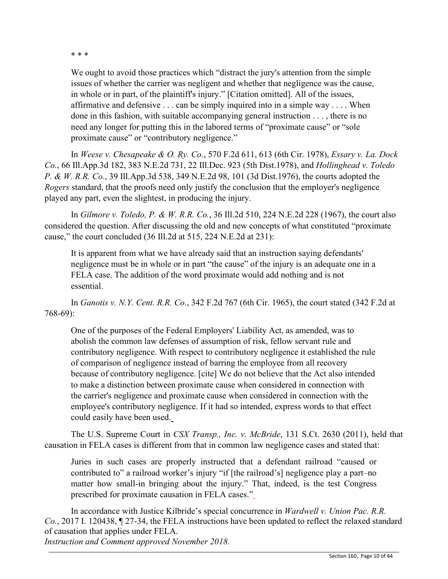\* \* \*

We ought to avoid those practices which "distract the jury's attention from the simple issues of whether the carrier was negligent and whether that negligence was the cause, in whole or in part, of the plaintiff's injury." [Citation omitted]. All of the issues, affirmative and defensive . . . can be simply inquired into in a simple way . . . . When done in this fashion, with suitable accompanying general instruction . . . , there is no need any longer for putting this in the labored terms of "proximate cause" or "sole proximate cause" or "contributory negligence."

In *Weese v. Chesapeake & O. Ry. Co.*, 570 F.2d 611, 613 (6th Cir. 1978), *Essary v. La. Dock Co.*, 66 Ill.App.3d 182, 383 N.E.2d 731, 22 Ill.Dec. 923 (5th Dist.1978), and *Hollinghead v. Toledo P. & W. R.R. Co.*, 39 Ill.App.3d 538, 349 N.E.2d 98, 101 (3d Dist.1976), the courts adopted the *Rogers* standard, that the proofs need only justify the conclusion that the employer's negligence played any part, even the slightest, in producing the injury.

In *Gilmore v. Toledo, P. & W. R.R. Co.*, 36 Ill.2d 510, 224 N.E.2d 228 (1967), the court also considered the question. After discussing the old and new concepts of what constituted "proximate cause," the court concluded (36 Ill.2d at 515, 224 N.E.2d at 231):

It is apparent from what we have already said that an instruction saying defendants' negligence must be in whole or in part "the cause" of the injury is an adequate one in a FELA case. The addition of the word proximate would add nothing and is not essential.

In *Ganotis v. N.Y. Cent. R.R. Co*., 342 F.2d 767 (6th Cir. 1965), the court stated (342 F.2d at 768-69):

One of the purposes of the Federal Employers' Liability Act, as amended, was to abolish the common law defenses of assumption of risk, fellow servant rule and contributory negligence. With respect to contributory negligence it established the rule of comparison of negligence instead of barring the employee from all recovery because of contributory negligence. [cite] We do not believe that the Act also intended to make a distinction between proximate cause when considered in connection with the carrier's negligence and proximate cause when considered in connection with the employee's contributory negligence. If it had so intended, express words to that effect could easily have been used.

The U.S. Supreme Court in *CSX Transp., Inc. v. McBride*, 131 S.Ct. 2630 (2011), held that causation in FELA cases is different from that in common law negligence cases and stated that:

Juries in such cases are properly instructed that a defendant railroad "caused or contributed to" a railroad worker's injury "if [the railroad's] negligence play a part–no matter how small-in bringing about the injury." That, indeed, is the test Congress prescribed for proximate causation in FELA cases."

In accordance with Justice Kilbride's special concurrence in *Wardwell v. Union Pac. R.R. Co.*, 2017 I. 120438, ¶ 27-34, the FELA instructions have been updated to reflect the relaxed standard of causation that applies under FELA.

*Instruction and Comment approved November 2018.*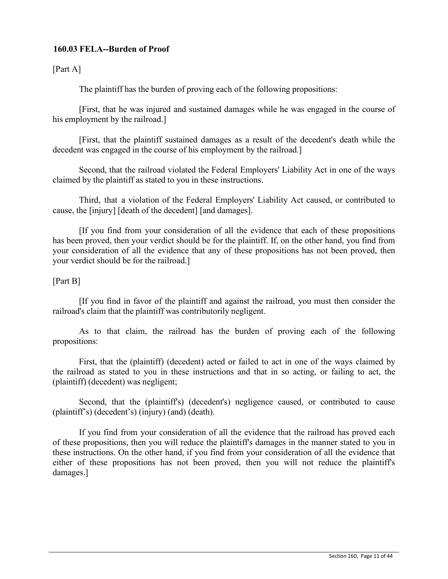## **160.03 FELA--Burden of Proof**

[Part A]

The plaintiff has the burden of proving each of the following propositions:

[First, that he was injured and sustained damages while he was engaged in the course of his employment by the railroad.]

[First, that the plaintiff sustained damages as a result of the decedent's death while the decedent was engaged in the course of his employment by the railroad.]

Second, that the railroad violated the Federal Employers' Liability Act in one of the ways claimed by the plaintiff as stated to you in these instructions.

Third, that a violation of the Federal Employers' Liability Act caused, or contributed to cause, the [injury] [death of the decedent] [and damages].

[If you find from your consideration of all the evidence that each of these propositions has been proved, then your verdict should be for the plaintiff. If, on the other hand, you find from your consideration of all the evidence that any of these propositions has not been proved, then your verdict should be for the railroad.]

## [Part B]

[If you find in favor of the plaintiff and against the railroad, you must then consider the railroad's claim that the plaintiff was contributorily negligent.

As to that claim, the railroad has the burden of proving each of the following propositions:

First, that the (plaintiff) (decedent) acted or failed to act in one of the ways claimed by the railroad as stated to you in these instructions and that in so acting, or failing to act, the (plaintiff) (decedent) was negligent;

Second, that the (plaintiff's) (decedent's) negligence caused, or contributed to cause (plaintiff's) (decedent's) (injury) (and) (death).

If you find from your consideration of all the evidence that the railroad has proved each of these propositions, then you will reduce the plaintiff's damages in the manner stated to you in these instructions. On the other hand, if you find from your consideration of all the evidence that either of these propositions has not been proved, then you will not reduce the plaintiff's damages.]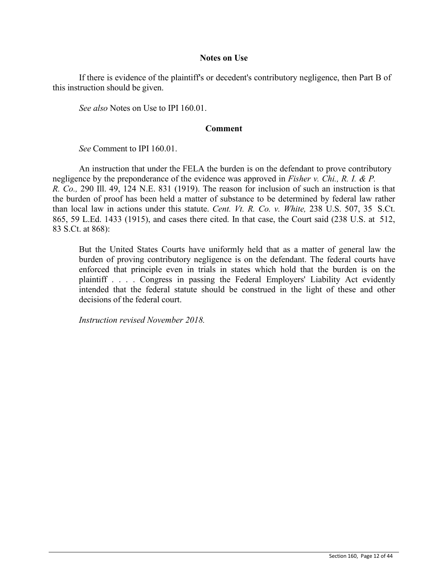#### **Notes on Use**

If there is evidence of the plaintiff's or decedent's contributory negligence, then Part B of this instruction should be given.

*See also* Notes on Use to IPI 160.01.

### **Comment**

*See* Comment to IPI 160.01.

An instruction that under the FELA the burden is on the defendant to prove contributory negligence by the preponderance of the evidence was approved in *Fisher v. Chi., R. I. & P. R. Co.,* 290 Ill. 49, 124 N.E. 831 (1919). The reason for inclusion of such an instruction is that the burden of proof has been held a matter of substance to be determined by federal law rather than local law in actions under this statute. *Cent. Vt. R. Co. v. White,* 238 U.S. 507, 35 S.Ct. 865, 59 L.Ed. 1433 (1915), and cases there cited. In that case, the Court said (238 U.S. at 512, 83 S.Ct. at 868):

But the United States Courts have uniformly held that as a matter of general law the burden of proving contributory negligence is on the defendant. The federal courts have enforced that principle even in trials in states which hold that the burden is on the plaintiff . . . . Congress in passing the Federal Employers' Liability Act evidently intended that the federal statute should be construed in the light of these and other decisions of the federal court.

*Instruction revised November 2018.*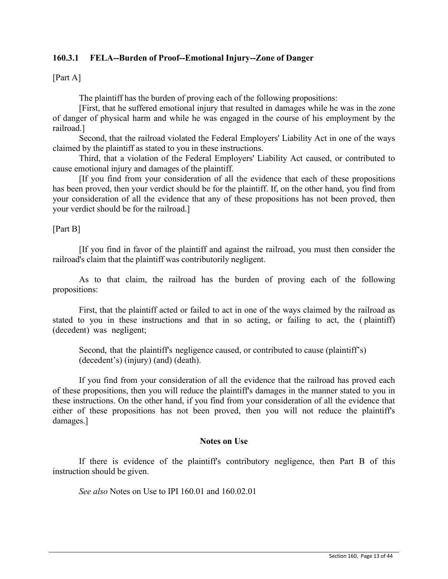## **160.3.1 FELA--Burden of Proof--Emotional Injury--Zone of Danger**

[Part A]

The plaintiff has the burden of proving each of the following propositions:

[First, that he suffered emotional injury that resulted in damages while he was in the zone of danger of physical harm and while he was engaged in the course of his employment by the railroad.]

Second, that the railroad violated the Federal Employers' Liability Act in one of the ways claimed by the plaintiff as stated to you in these instructions.

Third, that a violation of the Federal Employers' Liability Act caused, or contributed to cause emotional injury and damages of the plaintiff.

[If you find from your consideration of all the evidence that each of these propositions has been proved, then your verdict should be for the plaintiff. If, on the other hand, you find from your consideration of all the evidence that any of these propositions has not been proved, then your verdict should be for the railroad.]

[Part B]

[If you find in favor of the plaintiff and against the railroad, you must then consider the railroad's claim that the plaintiff was contributorily negligent.

As to that claim, the railroad has the burden of proving each of the following propositions:

First, that the plaintiff acted or failed to act in one of the ways claimed by the railroad as stated to you in these instructions and that in so acting, or failing to act, the ( plaintiff) (decedent) was negligent;

Second, that the plaintiff's negligence caused, or contributed to cause (plaintiff's) (decedent's) (injury) (and) (death).

If you find from your consideration of all the evidence that the railroad has proved each of these propositions, then you will reduce the plaintiff's damages in the manner stated to you in these instructions. On the other hand, if you find from your consideration of all the evidence that either of these propositions has not been proved, then you will not reduce the plaintiff's damages.]

#### **Notes on Use**

If there is evidence of the plaintiff's contributory negligence, then Part B of this instruction should be given.

*See also* Notes on Use to IPI 160.01 and 160.02.01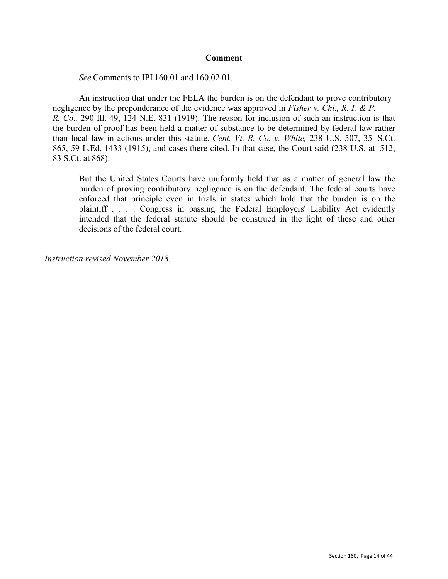## **Comment**

*See* Comments to IPI 160.01 and 160.02.01.

An instruction that under the FELA the burden is on the defendant to prove contributory negligence by the preponderance of the evidence was approved in *Fisher v. Chi., R. I. & P. R. Co.,* 290 Ill. 49, 124 N.E. 831 (1919). The reason for inclusion of such an instruction is that the burden of proof has been held a matter of substance to be determined by federal law rather than local law in actions under this statute. *Cent. Vt. R. Co. v. White,* 238 U.S. 507, 35 S.Ct. 865, 59 L.Ed. 1433 (1915), and cases there cited. In that case, the Court said (238 U.S. at 512, 83 S.Ct. at 868):

But the United States Courts have uniformly held that as a matter of general law the burden of proving contributory negligence is on the defendant. The federal courts have enforced that principle even in trials in states which hold that the burden is on the plaintiff . . . . Congress in passing the Federal Employers' Liability Act evidently intended that the federal statute should be construed in the light of these and other decisions of the federal court.

*Instruction revised November 2018.*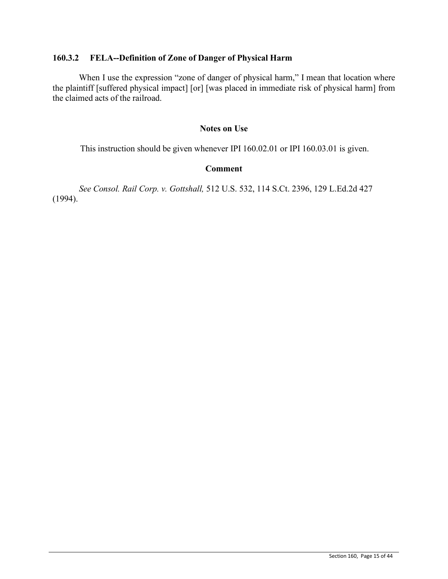## **160.3.2 FELA--Definition of Zone of Danger of Physical Harm**

When I use the expression "zone of danger of physical harm," I mean that location where the plaintiff [suffered physical impact] [or] [was placed in immediate risk of physical harm] from the claimed acts of the railroad.

## **Notes on Use**

This instruction should be given whenever IPI 160.02.01 or IPI 160.03.01 is given.

## **Comment**

(1994). *See Consol. Rail Corp. v. Gottshall,* 512 U.S. 532, 114 S.Ct. 2396, 129 L.Ed.2d 427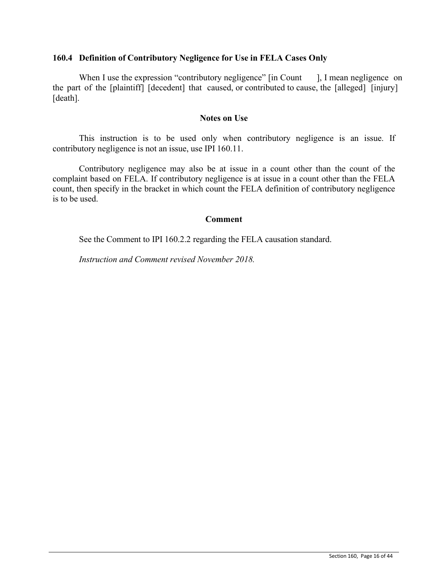## **160.4 Definition of Contributory Negligence for Use in FELA Cases Only**

When I use the expression "contributory negligence" [in Count ], I mean negligence on the part of the [plaintiff] [decedent] that caused, or contributed to cause, the [alleged] [injury] [death].

## **Notes on Use**

This instruction is to be used only when contributory negligence is an issue. If contributory negligence is not an issue, use IPI 160.11.

Contributory negligence may also be at issue in a count other than the count of the complaint based on FELA. If contributory negligence is at issue in a count other than the FELA count, then specify in the bracket in which count the FELA definition of contributory negligence is to be used.

## **Comment**

See the Comment to IPI 160.2.2 regarding the FELA causation standard.

*Instruction and Comment revised November 2018.*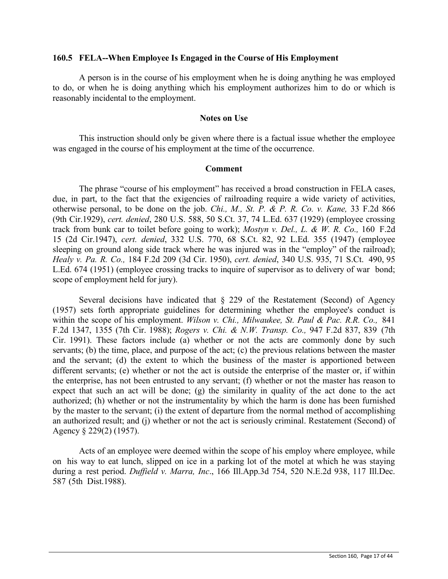#### **160.5 FELA--When Employee Is Engaged in the Course of His Employment**

A person is in the course of his employment when he is doing anything he was employed to do, or when he is doing anything which his employment authorizes him to do or which is reasonably incidental to the employment.

#### **Notes on Use**

This instruction should only be given where there is a factual issue whether the employee was engaged in the course of his employment at the time of the occurrence.

## **Comment**

The phrase "course of his employment" has received a broad construction in FELA cases, due, in part, to the fact that the exigencies of railroading require a wide variety of activities, otherwise personal, to be done on the job. *Chi., M., St. P. & P. R. Co. v. Kane,* 33 F.2d 866 (9th Cir.1929), *cert. denied*, 280 U.S. 588, 50 S.Ct. 37, 74 L.Ed. 637 (1929) (employee crossing track from bunk car to toilet before going to work); *Mostyn v. Del., L. & W. R. Co.,* 160 F.2d 15 (2d Cir.1947), *cert. denied*, 332 U.S. 770, 68 S.Ct. 82, 92 L.Ed. 355 (1947) (employee sleeping on ground along side track where he was injured was in the "employ" of the railroad); *Healy v. Pa. R. Co.,* 184 F.2d 209 (3d Cir. 1950), *cert. denied*, 340 U.S. 935, 71 S.Ct. 490, 95 L.Ed. 674 (1951) (employee crossing tracks to inquire of supervisor as to delivery of war bond; scope of employment held for jury).

Several decisions have indicated that  $\S$  229 of the Restatement (Second) of Agency (1957) sets forth appropriate guidelines for determining whether the employee's conduct is within the scope of his employment. *Wilson v. Chi., Milwaukee, St. Paul & Pac. R.R. Co.,* 841 F.2d 1347, 1355 (7th Cir. 1988); *Rogers v. Chi. & N.W. Transp. Co.,* 947 F.2d 837, 839 (7th Cir. 1991). These factors include (a) whether or not the acts are commonly done by such servants; (b) the time, place, and purpose of the act; (c) the previous relations between the master and the servant; (d) the extent to which the business of the master is apportioned between different servants; (e) whether or not the act is outside the enterprise of the master or, if within the enterprise, has not been entrusted to any servant; (f) whether or not the master has reason to expect that such an act will be done; (g) the similarity in quality of the act done to the act authorized; (h) whether or not the instrumentality by which the harm is done has been furnished by the master to the servant; (i) the extent of departure from the normal method of accomplishing an authorized result; and (j) whether or not the act is seriously criminal. Restatement (Second) of Agency § 229(2) (1957).

Acts of an employee were deemed within the scope of his employ where employee, while on his way to eat lunch, slipped on ice in a parking lot of the motel at which he was staying during a rest period. *Duffield v. Marra, Inc*., 166 Ill.App.3d 754, 520 N.E.2d 938, 117 Ill.Dec. 587 (5th Dist.1988).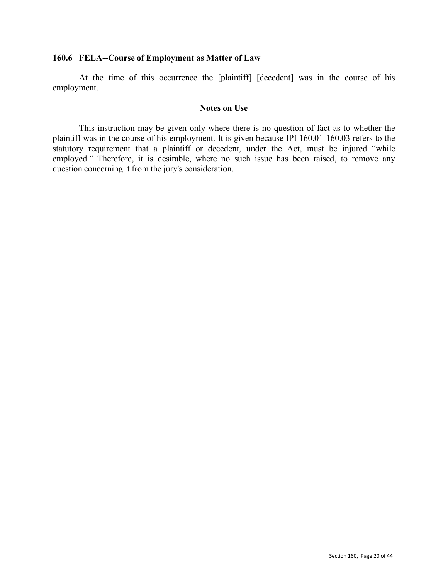## **160.6 FELA--Course of Employment as Matter of Law**

At the time of this occurrence the [plaintiff] [decedent] was in the course of his employment.

### **Notes on Use**

This instruction may be given only where there is no question of fact as to whether the plaintiff was in the course of his employment. It is given because IPI 160.01-160.03 refers to the statutory requirement that a plaintiff or decedent, under the Act, must be injured "while employed." Therefore, it is desirable, where no such issue has been raised, to remove any question concerning it from the jury's consideration.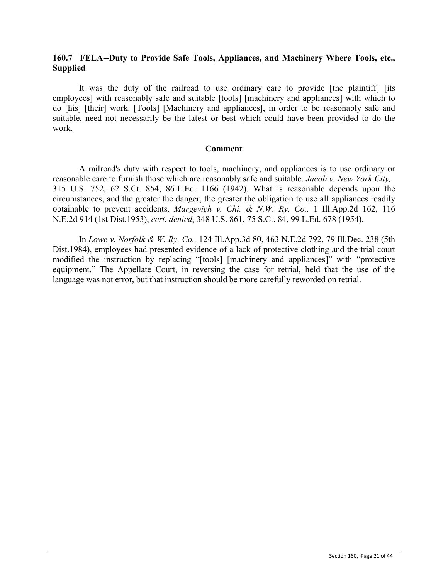## **160.7 FELA--Duty to Provide Safe Tools, Appliances, and Machinery Where Tools, etc., Supplied**

It was the duty of the railroad to use ordinary care to provide [the plaintiff] [its employees] with reasonably safe and suitable [tools] [machinery and appliances] with which to do [his] [their] work. [Tools] [Machinery and appliances], in order to be reasonably safe and suitable, need not necessarily be the latest or best which could have been provided to do the work.

#### **Comment**

A railroad's duty with respect to tools, machinery, and appliances is to use ordinary or reasonable care to furnish those which are reasonably safe and suitable. *Jacob v. New York City,* 315 U.S. 752, 62 S.Ct. 854, 86 L.Ed. 1166 (1942). What is reasonable depends upon the circumstances, and the greater the danger, the greater the obligation to use all appliances readily obtainable to prevent accidents. *Margevich v. Chi. & N.W. Ry. Co.,* 1 Ill.App.2d 162, 116 N.E.2d 914 (1st Dist.1953), *cert. denied*, 348 U.S. 861, 75 S.Ct. 84, 99 L.Ed. 678 (1954).

In *Lowe v. Norfolk & W. Ry. Co.,* 124 Ill.App.3d 80, 463 N.E.2d 792, 79 Ill.Dec. 238 (5th Dist.1984), employees had presented evidence of a lack of protective clothing and the trial court modified the instruction by replacing "[tools] [machinery and appliances]" with "protective equipment." The Appellate Court, in reversing the case for retrial, held that the use of the language was not error, but that instruction should be more carefully reworded on retrial.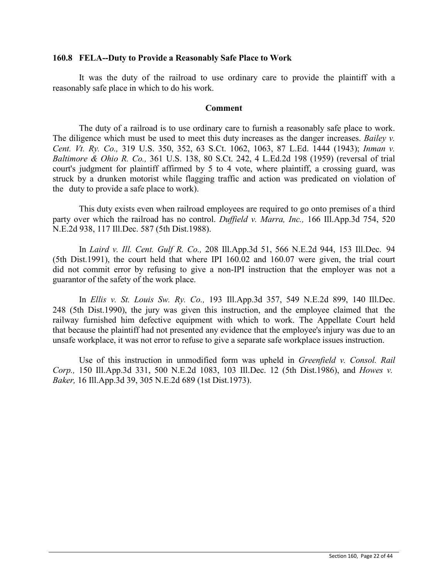### **160.8 FELA--Duty to Provide a Reasonably Safe Place to Work**

It was the duty of the railroad to use ordinary care to provide the plaintiff with a reasonably safe place in which to do his work.

#### **Comment**

The duty of a railroad is to use ordinary care to furnish a reasonably safe place to work. The diligence which must be used to meet this duty increases as the danger increases. *Bailey v. Cent. Vt. Ry. Co.,* 319 U.S. 350, 352, 63 S.Ct. 1062, 1063, 87 L.Ed. 1444 (1943); *Inman v. Baltimore & Ohio R. Co.,* 361 U.S. 138, 80 S.Ct. 242, 4 L.Ed.2d 198 (1959) (reversal of trial court's judgment for plaintiff affirmed by 5 to 4 vote, where plaintiff, a crossing guard, was struck by a drunken motorist while flagging traffic and action was predicated on violation of the duty to provide a safe place to work).

This duty exists even when railroad employees are required to go onto premises of a third party over which the railroad has no control. *Duffield v. Marra, Inc.,* 166 Ill.App.3d 754, 520 N.E.2d 938, 117 Ill.Dec. 587 (5th Dist.1988).

In *Laird v. Ill. Cent. Gulf R. Co.,* 208 Ill.App.3d 51, 566 N.E.2d 944, 153 Ill.Dec. 94 (5th Dist.1991), the court held that where IPI 160.02 and 160.07 were given, the trial court did not commit error by refusing to give a non-IPI instruction that the employer was not a guarantor of the safety of the work place.

In *Ellis v. St. Louis Sw. Ry. Co.,* 193 Ill.App.3d 357, 549 N.E.2d 899, 140 Ill.Dec. 248 (5th Dist.1990), the jury was given this instruction, and the employee claimed that the railway furnished him defective equipment with which to work. The Appellate Court held that because the plaintiff had not presented any evidence that the employee's injury was due to an unsafe workplace, it was not error to refuse to give a separate safe workplace issues instruction.

Use of this instruction in unmodified form was upheld in *Greenfield v. Consol. Rail Corp.,* 150 Ill.App.3d 331, 500 N.E.2d 1083, 103 Ill.Dec. 12 (5th Dist.1986), and *Howes v. Baker,* 16 Ill.App.3d 39, 305 N.E.2d 689 (1st Dist.1973).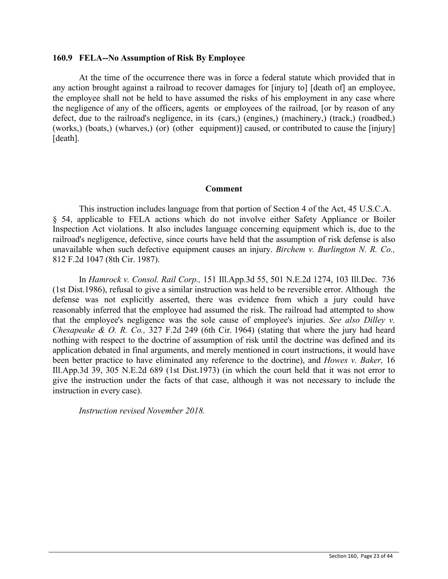## **160.9 FELA--No Assumption of Risk By Employee**

At the time of the occurrence there was in force a federal statute which provided that in any action brought against a railroad to recover damages for [injury to] [death of] an employee, the employee shall not be held to have assumed the risks of his employment in any case where the negligence of any of the officers, agents or employees of the railroad, [or by reason of any defect, due to the railroad's negligence, in its (cars,) (engines,) (machinery,) (track,) (roadbed,) (works,) (boats,) (wharves,) (or) (other equipment)] caused, or contributed to cause the [injury] [death].

#### **Comment**

This instruction includes language from that portion of Section 4 of the Act, 45 U.S.C.A. § 54, applicable to FELA actions which do not involve either Safety Appliance or Boiler Inspection Act violations. It also includes language concerning equipment which is, due to the railroad's negligence, defective, since courts have held that the assumption of risk defense is also unavailable when such defective equipment causes an injury. *Birchem v. Burlington N. R. Co.,* 812 F.2d 1047 (8th Cir. 1987).

In *Hamrock v. Consol. Rail Corp.,* 151 Ill.App.3d 55, 501 N.E.2d 1274, 103 Ill.Dec. 736 (1st Dist.1986), refusal to give a similar instruction was held to be reversible error. Although the defense was not explicitly asserted, there was evidence from which a jury could have reasonably inferred that the employee had assumed the risk. The railroad had attempted to show that the employee's negligence was the sole cause of employee's injuries. *See also Dilley v. Chesapeake & O. R. Co.,* 327 F.2d 249 (6th Cir. 1964) (stating that where the jury had heard nothing with respect to the doctrine of assumption of risk until the doctrine was defined and its application debated in final arguments, and merely mentioned in court instructions, it would have been better practice to have eliminated any reference to the doctrine), and *Howes v. Baker,* 16 Ill.App.3d 39, 305 N.E.2d 689 (1st Dist.1973) (in which the court held that it was not error to give the instruction under the facts of that case, although it was not necessary to include the instruction in every case).

*Instruction revised November 2018.*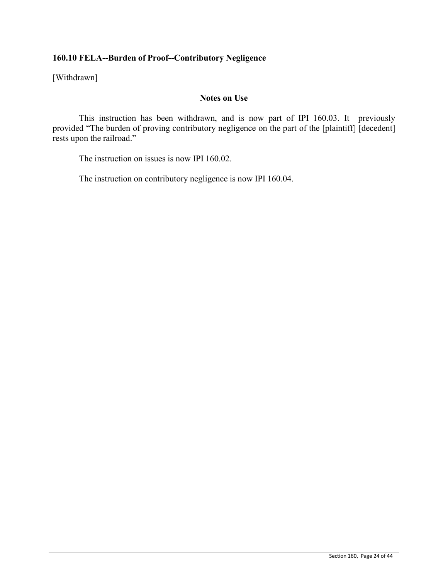## **160.10 FELA--Burden of Proof--Contributory Negligence**

[Withdrawn]

## **Notes on Use**

This instruction has been withdrawn, and is now part of IPI 160.03. It previously provided "The burden of proving contributory negligence on the part of the [plaintiff] [decedent] rests upon the railroad."

The instruction on issues is now IPI 160.02.

The instruction on contributory negligence is now IPI 160.04.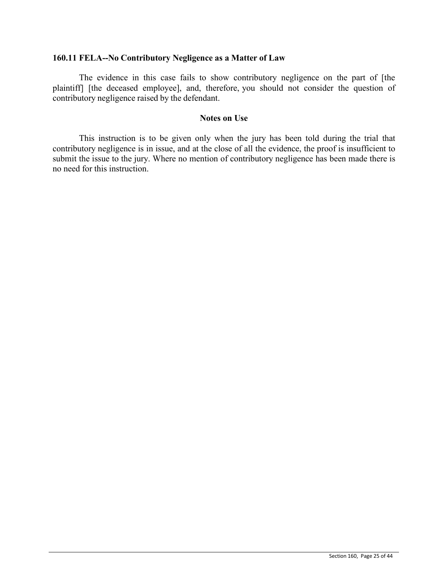## **160.11 FELA--No Contributory Negligence as a Matter of Law**

The evidence in this case fails to show contributory negligence on the part of [the plaintiff] [the deceased employee], and, therefore, you should not consider the question of contributory negligence raised by the defendant.

## **Notes on Use**

This instruction is to be given only when the jury has been told during the trial that contributory negligence is in issue, and at the close of all the evidence, the proof is insufficient to submit the issue to the jury. Where no mention of contributory negligence has been made there is no need for this instruction.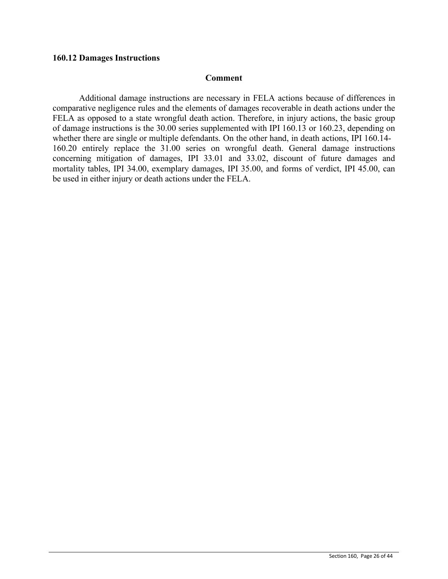### **160.12 Damages Instructions**

#### **Comment**

Additional damage instructions are necessary in FELA actions because of differences in comparative negligence rules and the elements of damages recoverable in death actions under the FELA as opposed to a state wrongful death action. Therefore, in injury actions, the basic group of damage instructions is the 30.00 series supplemented with IPI 160.13 or 160.23, depending on whether there are single or multiple defendants. On the other hand, in death actions, IPI 160.14- 160.20 entirely replace the 31.00 series on wrongful death. General damage instructions concerning mitigation of damages, IPI 33.01 and 33.02, discount of future damages and mortality tables, IPI 34.00, exemplary damages, IPI 35.00, and forms of verdict, IPI 45.00, can be used in either injury or death actions under the FELA.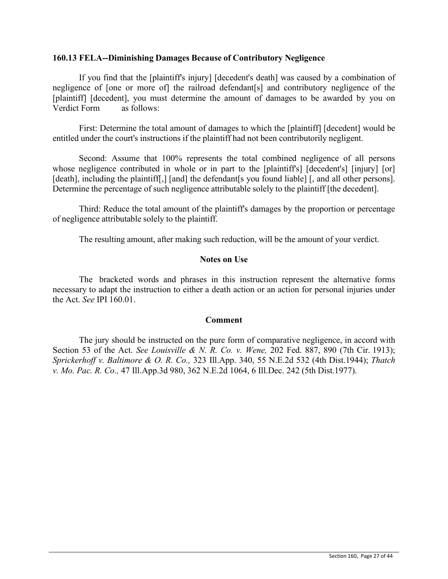## **160.13 FELA--Diminishing Damages Because of Contributory Negligence**

If you find that the [plaintiff's injury] [decedent's death] was caused by a combination of negligence of [one or more of] the railroad defendant[s] and contributory negligence of the [plaintiff] [decedent], you must determine the amount of damages to be awarded by you on Verdict Form as follows:

First: Determine the total amount of damages to which the [plaintiff] [decedent] would be entitled under the court's instructions if the plaintiff had not been contributorily negligent.

Second: Assume that 100% represents the total combined negligence of all persons whose negligence contributed in whole or in part to the [plaintiff's] [decedent's] [injury] [or] [death], including the plaintiff[,] [and] the defendant[s you found liable] [, and all other persons]. Determine the percentage of such negligence attributable solely to the plaintiff [the decedent].

Third: Reduce the total amount of the plaintiff's damages by the proportion or percentage of negligence attributable solely to the plaintiff.

The resulting amount, after making such reduction, will be the amount of your verdict.

## **Notes on Use**

The bracketed words and phrases in this instruction represent the alternative forms necessary to adapt the instruction to either a death action or an action for personal injuries under the Act. *See* IPI 160.01.

## **Comment**

The jury should be instructed on the pure form of comparative negligence, in accord with Section 53 of the Act. *See Louisville & N. R. Co. v. Wene,* 202 Fed. 887, 890 (7th Cir. 1913); *Sprickerhoff v. Baltimore & O. R. Co.,* 323 Ill.App. 340, 55 N.E.2d 532 (4th Dist.1944); *Thatch v. Mo. Pac. R. Co.,* 47 Ill.App.3d 980, 362 N.E.2d 1064, 6 Ill.Dec. 242 (5th Dist.1977).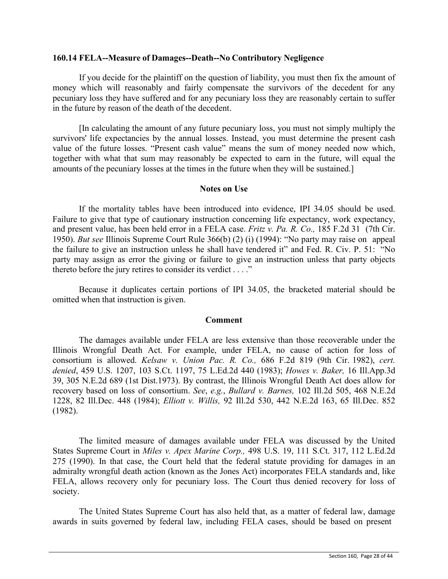## **160.14 FELA--Measure of Damages--Death--No Contributory Negligence**

If you decide for the plaintiff on the question of liability, you must then fix the amount of money which will reasonably and fairly compensate the survivors of the decedent for any pecuniary loss they have suffered and for any pecuniary loss they are reasonably certain to suffer in the future by reason of the death of the decedent.

[In calculating the amount of any future pecuniary loss, you must not simply multiply the survivors' life expectancies by the annual losses. Instead, you must determine the present cash value of the future losses. "Present cash value" means the sum of money needed now which, together with what that sum may reasonably be expected to earn in the future, will equal the amounts of the pecuniary losses at the times in the future when they will be sustained.]

#### **Notes on Use**

If the mortality tables have been introduced into evidence, IPI 34.05 should be used. Failure to give that type of cautionary instruction concerning life expectancy, work expectancy, and present value, has been held error in a FELA case. *Fritz v. Pa. R. Co.,* 185 F.2d 31 (7th Cir. 1950). *But see* Illinois Supreme Court Rule 366(b) (2) (i) (1994): "No party may raise on appeal the failure to give an instruction unless he shall have tendered it" and Fed. R. Civ. P. 51: "No party may assign as error the giving or failure to give an instruction unless that party objects thereto before the jury retires to consider its verdict . . . ."

Because it duplicates certain portions of IPI 34.05, the bracketed material should be omitted when that instruction is given.

#### **Comment**

The damages available under FELA are less extensive than those recoverable under the Illinois Wrongful Death Act. For example, under FELA, no cause of action for loss of consortium is allowed. *Kelsaw v. Union Pac. R. Co.,* 686 F.2d 819 (9th Cir. 1982), *cert. denied*, 459 U.S. 1207, 103 S.Ct. 1197, 75 L.Ed.2d 440 (1983); *Howes v. Baker,* 16 Ill.App.3d 39, 305 N.E.2d 689 (1st Dist.1973). By contrast, the Illinois Wrongful Death Act does allow for recovery based on loss of consortium. *See*, *e.g.*, *Bullard v. Barnes,* 102 Ill.2d 505, 468 N.E.2d 1228, 82 Ill.Dec. 448 (1984); *Elliott v. Willis,* 92 Ill.2d 530, 442 N.E.2d 163, 65 Ill.Dec. 852 (1982).

The limited measure of damages available under FELA was discussed by the United States Supreme Court in *Miles v. Apex Marine Corp.,* 498 U.S. 19, 111 S.Ct. 317, 112 L.Ed.2d 275 (1990). In that case, the Court held that the federal statute providing for damages in an admiralty wrongful death action (known as the Jones Act) incorporates FELA standards and, like FELA, allows recovery only for pecuniary loss. The Court thus denied recovery for loss of society.

The United States Supreme Court has also held that, as a matter of federal law, damage awards in suits governed by federal law, including FELA cases, should be based on present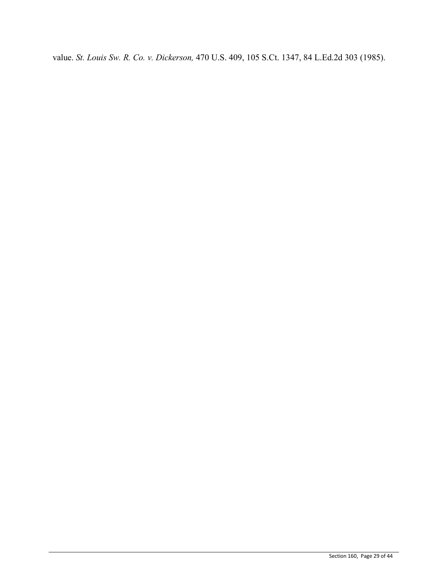value. *St. Louis Sw. R. Co. v. Dickerson,* 470 U.S. 409, 105 S.Ct. 1347, 84 L.Ed.2d 303 (1985).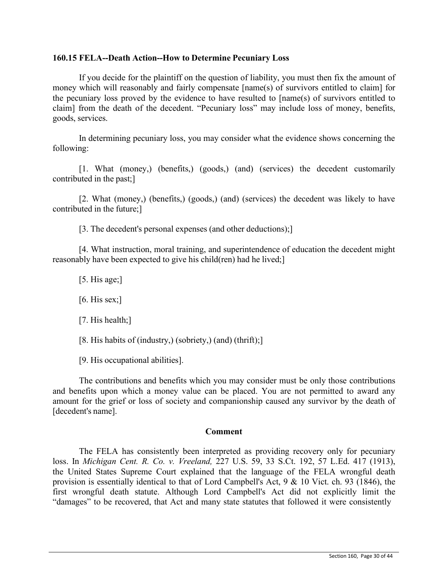## **160.15 FELA--Death Action--How to Determine Pecuniary Loss**

If you decide for the plaintiff on the question of liability, you must then fix the amount of money which will reasonably and fairly compensate [name(s) of survivors entitled to claim] for the pecuniary loss proved by the evidence to have resulted to [name(s) of survivors entitled to claim] from the death of the decedent. "Pecuniary loss" may include loss of money, benefits, goods, services.

In determining pecuniary loss, you may consider what the evidence shows concerning the following:

[1. What (money,) (benefits,) (goods,) (and) (services) the decedent customarily contributed in the past;]

[2. What (money,) (benefits,) (goods,) (and) (services) the decedent was likely to have contributed in the future;]

[3. The decedent's personal expenses (and other deductions);]

[4. What instruction, moral training, and superintendence of education the decedent might reasonably have been expected to give his child(ren) had he lived;]

 $[5.$  His age; $]$ 

 $[6.$  His sex; $]$ 

[7. His health;]

[8. His habits of (industry,) (sobriety,) (and) (thrift);]

[9. His occupational abilities].

The contributions and benefits which you may consider must be only those contributions and benefits upon which a money value can be placed. You are not permitted to award any amount for the grief or loss of society and companionship caused any survivor by the death of [decedent's name].

## **Comment**

The FELA has consistently been interpreted as providing recovery only for pecuniary loss. In *Michigan Cent. R. Co. v. Vreeland,* 227 U.S. 59, 33 S.Ct. 192, 57 L.Ed. 417 (1913), the United States Supreme Court explained that the language of the FELA wrongful death provision is essentially identical to that of Lord Campbell's Act, 9 & 10 Vict. ch. 93 (1846), the first wrongful death statute. Although Lord Campbell's Act did not explicitly limit the "damages" to be recovered, that Act and many state statutes that followed it were consistently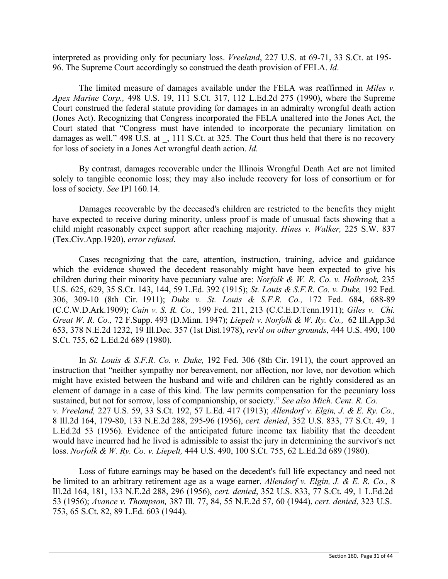interpreted as providing only for pecuniary loss. *Vreeland*, 227 U.S. at 69-71, 33 S.Ct. at 195- 96. The Supreme Court accordingly so construed the death provision of FELA. *Id*.

The limited measure of damages available under the FELA was reaffirmed in *Miles v. Apex Marine Corp.,* 498 U.S. 19, 111 S.Ct. 317, 112 L.Ed.2d 275 (1990), where the Supreme Court construed the federal statute providing for damages in an admiralty wrongful death action (Jones Act). Recognizing that Congress incorporated the FELA unaltered into the Jones Act, the Court stated that "Congress must have intended to incorporate the pecuniary limitation on damages as well." 498 U.S. at , 111 S.Ct. at 325. The Court thus held that there is no recovery for loss of society in a Jones Act wrongful death action. *Id.*

By contrast, damages recoverable under the Illinois Wrongful Death Act are not limited solely to tangible economic loss; they may also include recovery for loss of consortium or for loss of society. *See* IPI 160.14.

Damages recoverable by the deceased's children are restricted to the benefits they might have expected to receive during minority, unless proof is made of unusual facts showing that a child might reasonably expect support after reaching majority. *Hines v. Walker,* 225 S.W. 837 (Tex.Civ.App.1920), *error refused*.

Cases recognizing that the care, attention, instruction, training, advice and guidance which the evidence showed the decedent reasonably might have been expected to give his children during their minority have pecuniary value are: *Norfolk & W. R. Co. v. Holbrook,* 235 U.S. 625, 629, 35 S.Ct. 143, 144, 59 L.Ed. 392 (1915); *St. Louis & S.F.R. Co. v. Duke,* 192 Fed. 306, 309-10 (8th Cir. 1911); *Duke v. St. Louis & S.F.R. Co.,* 172 Fed. 684, 688-89 (C.C.W.D.Ark.1909); *Cain v. S. R. Co.,* 199 Fed. 211, 213 (C.C.E.D.Tenn.1911); *Giles v. Chi. Great W. R. Co.,* 72 F.Supp. 493 (D.Minn. 1947); *Liepelt v. Norfolk & W. Ry. Co.,* 62 Ill.App.3d 653, 378 N.E.2d 1232, 19 Ill.Dec. 357 (1st Dist.1978), *rev'd on other grounds*, 444 U.S. 490, 100 S.Ct. 755, 62 L.Ed.2d 689 (1980).

In *St. Louis & S.F.R. Co. v. Duke,* 192 Fed. 306 (8th Cir. 1911), the court approved an instruction that "neither sympathy nor bereavement, nor affection, nor love, nor devotion which might have existed between the husband and wife and children can be rightly considered as an element of damage in a case of this kind. The law permits compensation for the pecuniary loss sustained, but not for sorrow, loss of companionship, or society." *See also Mich. Cent. R. Co. v. Vreeland,* 227 U.S. 59, 33 S.Ct. 192, 57 L.Ed. 417 (1913); *Allendorf v. Elgin, J. & E. Ry. Co.,* 8 Ill.2d 164, 179-80, 133 N.E.2d 288, 295-96 (1956), *cert. denied*, 352 U.S. 833, 77 S.Ct. 49, 1 L.Ed.2d 53 (1956). Evidence of the anticipated future income tax liability that the decedent would have incurred had he lived is admissible to assist the jury in determining the survivor's net loss. *Norfolk & W. Ry. Co. v. Liepelt,* 444 U.S. 490, 100 S.Ct. 755, 62 L.Ed.2d 689 (1980).

Loss of future earnings may be based on the decedent's full life expectancy and need not be limited to an arbitrary retirement age as a wage earner. *Allendorf v. Elgin, J. & E. R. Co.,* 8 Ill.2d 164, 181, 133 N.E.2d 288, 296 (1956), *cert. denied*, 352 U.S. 833, 77 S.Ct. 49, 1 L.Ed.2d 53 (1956); *Avance v. Thompson,* 387 Ill. 77, 84, 55 N.E.2d 57, 60 (1944), *cert. denied*, 323 U.S. 753, 65 S.Ct. 82, 89 L.Ed. 603 (1944).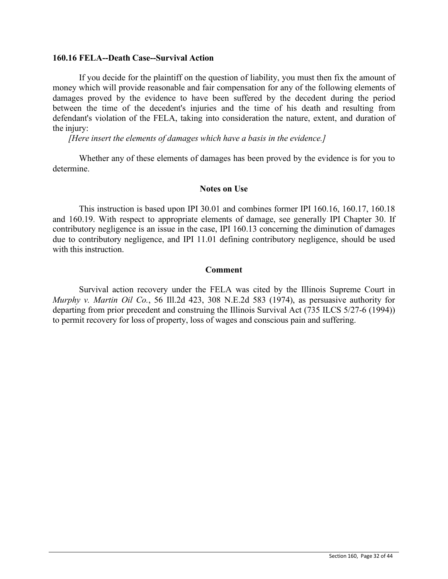#### **160.16 FELA--Death Case--Survival Action**

If you decide for the plaintiff on the question of liability, you must then fix the amount of money which will provide reasonable and fair compensation for any of the following elements of damages proved by the evidence to have been suffered by the decedent during the period between the time of the decedent's injuries and the time of his death and resulting from defendant's violation of the FELA, taking into consideration the nature, extent, and duration of the injury:

*[Here insert the elements of damages which have a basis in the evidence.]*

Whether any of these elements of damages has been proved by the evidence is for you to determine.

## **Notes on Use**

This instruction is based upon IPI 30.01 and combines former IPI 160.16, 160.17, 160.18 and 160.19. With respect to appropriate elements of damage, see generally IPI Chapter 30. If contributory negligence is an issue in the case, IPI 160.13 concerning the diminution of damages due to contributory negligence, and IPI 11.01 defining contributory negligence, should be used with this instruction.

## **Comment**

Survival action recovery under the FELA was cited by the Illinois Supreme Court in *Murphy v. Martin Oil Co.*, 56 Ill.2d 423, 308 N.E.2d 583 (1974), as persuasive authority for departing from prior precedent and construing the Illinois Survival Act (735 ILCS 5/27-6 (1994)) to permit recovery for loss of property, loss of wages and conscious pain and suffering.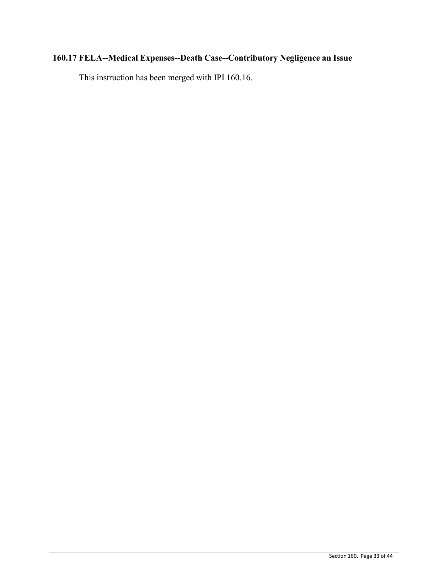# **160.17 FELA--Medical Expenses--Death Case--Contributory Negligence an Issue**

This instruction has been merged with IPI 160.16.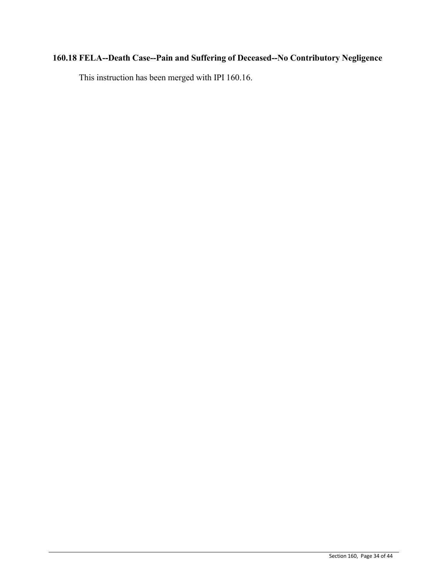# **160.18 FELA--Death Case--Pain and Suffering of Deceased--No Contributory Negligence**

This instruction has been merged with IPI 160.16.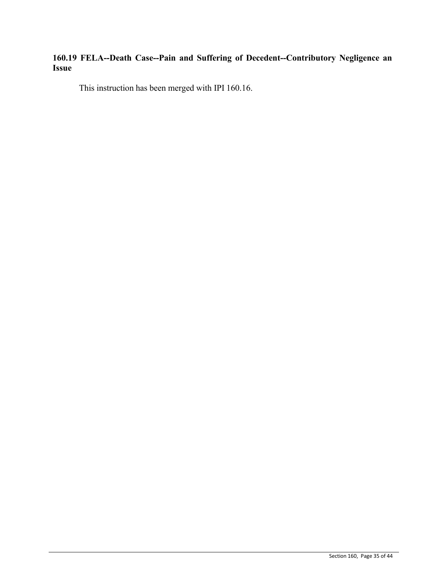## **160.19 FELA--Death Case--Pain and Suffering of Decedent--Contributory Negligence an Issue**

This instruction has been merged with IPI 160.16.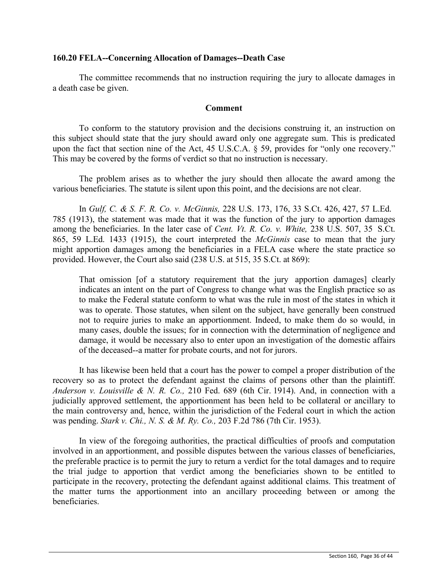## **160.20 FELA--Concerning Allocation of Damages--Death Case**

The committee recommends that no instruction requiring the jury to allocate damages in a death case be given.

## **Comment**

To conform to the statutory provision and the decisions construing it, an instruction on this subject should state that the jury should award only one aggregate sum. This is predicated upon the fact that section nine of the Act, 45 U.S.C.A. § 59, provides for "only one recovery." This may be covered by the forms of verdict so that no instruction is necessary.

The problem arises as to whether the jury should then allocate the award among the various beneficiaries. The statute is silent upon this point, and the decisions are not clear.

In *Gulf, C. & S. F. R. Co. v. McGinnis,* 228 U.S. 173, 176, 33 S.Ct. 426, 427, 57 L.Ed. 785 (1913), the statement was made that it was the function of the jury to apportion damages among the beneficiaries. In the later case of *Cent. Vt. R. Co. v. White,* 238 U.S. 507, 35 S.Ct. 865, 59 L.Ed. 1433 (1915), the court interpreted the *McGinnis* case to mean that the jury might apportion damages among the beneficiaries in a FELA case where the state practice so provided. However, the Court also said (238 U.S. at 515, 35 S.Ct. at 869):

That omission [of a statutory requirement that the jury apportion damages] clearly indicates an intent on the part of Congress to change what was the English practice so as to make the Federal statute conform to what was the rule in most of the states in which it was to operate. Those statutes, when silent on the subject, have generally been construed not to require juries to make an apportionment. Indeed, to make them do so would, in many cases, double the issues; for in connection with the determination of negligence and damage, it would be necessary also to enter upon an investigation of the domestic affairs of the deceased--a matter for probate courts, and not for jurors.

It has likewise been held that a court has the power to compel a proper distribution of the recovery so as to protect the defendant against the claims of persons other than the plaintiff. *Anderson v. Louisville & N. R. Co.,* 210 Fed. 689 (6th Cir. 1914). And, in connection with a judicially approved settlement, the apportionment has been held to be collateral or ancillary to the main controversy and, hence, within the jurisdiction of the Federal court in which the action was pending. *Stark v. Chi., N. S. & M. Ry. Co.,* 203 F.2d 786 (7th Cir. 1953).

In view of the foregoing authorities, the practical difficulties of proofs and computation involved in an apportionment, and possible disputes between the various classes of beneficiaries, the preferable practice is to permit the jury to return a verdict for the total damages and to require the trial judge to apportion that verdict among the beneficiaries shown to be entitled to participate in the recovery, protecting the defendant against additional claims. This treatment of the matter turns the apportionment into an ancillary proceeding between or among the beneficiaries.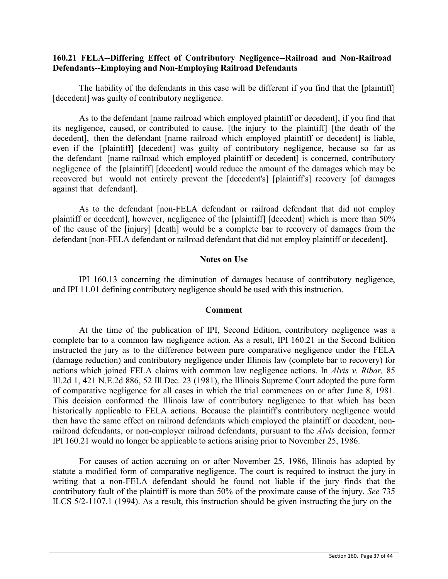## **160.21 FELA--Differing Effect of Contributory Negligence--Railroad and Non-Railroad Defendants--Employing and Non-Employing Railroad Defendants**

The liability of the defendants in this case will be different if you find that the [plaintiff] [decedent] was guilty of contributory negligence.

As to the defendant [name railroad which employed plaintiff or decedent], if you find that its negligence, caused, or contributed to cause, [the injury to the plaintiff] [the death of the decedent], then the defendant [name railroad which employed plaintiff or decedent] is liable, even if the [plaintiff] [decedent] was guilty of contributory negligence, because so far as the defendant [name railroad which employed plaintiff or decedent] is concerned, contributory negligence of the [plaintiff] [decedent] would reduce the amount of the damages which may be recovered but would not entirely prevent the [decedent's] [plaintiff's] recovery [of damages against that defendant].

As to the defendant [non-FELA defendant or railroad defendant that did not employ plaintiff or decedent], however, negligence of the [plaintiff] [decedent] which is more than 50% of the cause of the [injury] [death] would be a complete bar to recovery of damages from the defendant [non-FELA defendant or railroad defendant that did not employ plaintiff or decedent].

## **Notes on Use**

IPI 160.13 concerning the diminution of damages because of contributory negligence, and IPI 11.01 defining contributory negligence should be used with this instruction.

#### **Comment**

At the time of the publication of IPI, Second Edition, contributory negligence was a complete bar to a common law negligence action. As a result, IPI 160.21 in the Second Edition instructed the jury as to the difference between pure comparative negligence under the FELA (damage reduction) and contributory negligence under Illinois law (complete bar to recovery) for actions which joined FELA claims with common law negligence actions. In *Alvis v. Ribar,* 85 Ill.2d 1, 421 N.E.2d 886, 52 Ill.Dec. 23 (1981), the Illinois Supreme Court adopted the pure form of comparative negligence for all cases in which the trial commences on or after June 8, 1981. This decision conformed the Illinois law of contributory negligence to that which has been historically applicable to FELA actions. Because the plaintiff's contributory negligence would then have the same effect on railroad defendants which employed the plaintiff or decedent, nonrailroad defendants, or non-employer railroad defendants, pursuant to the *Alvis* decision, former IPI 160.21 would no longer be applicable to actions arising prior to November 25, 1986.

For causes of action accruing on or after November 25, 1986, Illinois has adopted by statute a modified form of comparative negligence. The court is required to instruct the jury in writing that a non-FELA defendant should be found not liable if the jury finds that the contributory fault of the plaintiff is more than 50% of the proximate cause of the injury. *See* 735 ILCS 5/2-1107.1 (1994). As a result, this instruction should be given instructing the jury on the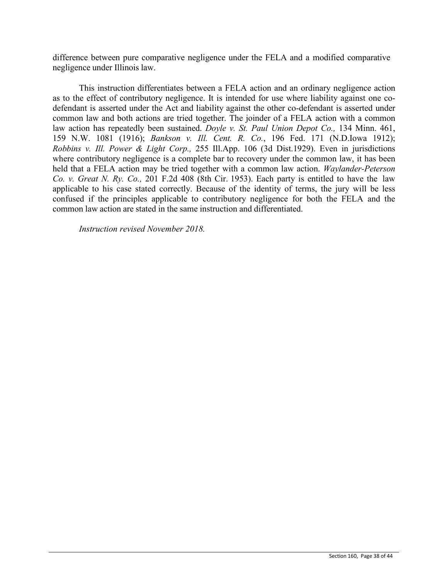difference between pure comparative negligence under the FELA and a modified comparative negligence under Illinois law.

This instruction differentiates between a FELA action and an ordinary negligence action as to the effect of contributory negligence. It is intended for use where liability against one codefendant is asserted under the Act and liability against the other co-defendant is asserted under common law and both actions are tried together. The joinder of a FELA action with a common law action has repeatedly been sustained. *Doyle v. St. Paul Union Depot Co.,* 134 Minn. 461, 159 N.W. 1081 (1916); *Bankson v. Ill. Cent. R. Co.*, 196 Fed. 171 (N.D.Iowa 1912); *Robbins v. Ill. Power & Light Corp.,* 255 Ill.App. 106 (3d Dist.1929). Even in jurisdictions where contributory negligence is a complete bar to recovery under the common law, it has been held that a FELA action may be tried together with a common law action. *Waylander-Peterson Co. v. Great N. Ry. Co.,* 201 F.2d 408 (8th Cir. 1953). Each party is entitled to have the law applicable to his case stated correctly. Because of the identity of terms, the jury will be less confused if the principles applicable to contributory negligence for both the FELA and the common law action are stated in the same instruction and differentiated.

*Instruction revised November 2018.*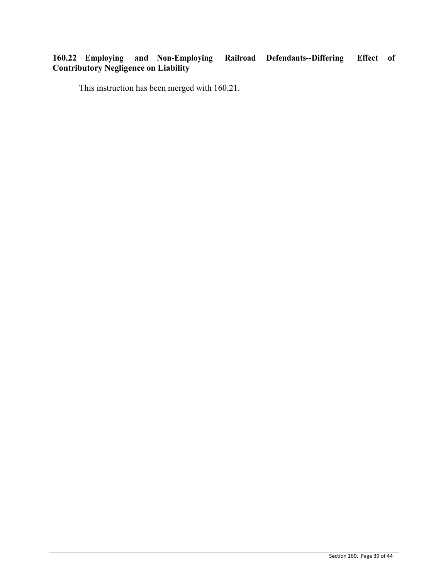## **160.22 Employing and Non-Employing Railroad Defendants--Differing Effect of Contributory Negligence on Liability**

This instruction has been merged with 160.21.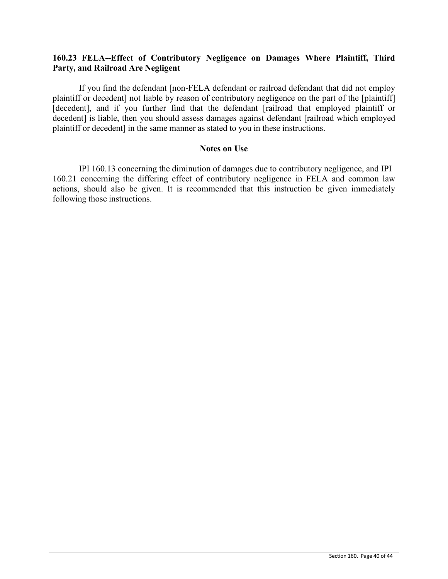## **160.23 FELA--Effect of Contributory Negligence on Damages Where Plaintiff, Third Party, and Railroad Are Negligent**

If you find the defendant [non-FELA defendant or railroad defendant that did not employ plaintiff or decedent] not liable by reason of contributory negligence on the part of the [plaintiff] [decedent], and if you further find that the defendant [railroad that employed plaintiff or decedent] is liable, then you should assess damages against defendant [railroad which employed plaintiff or decedent] in the same manner as stated to you in these instructions.

### **Notes on Use**

IPI 160.13 concerning the diminution of damages due to contributory negligence, and IPI 160.21 concerning the differing effect of contributory negligence in FELA and common law actions, should also be given. It is recommended that this instruction be given immediately following those instructions.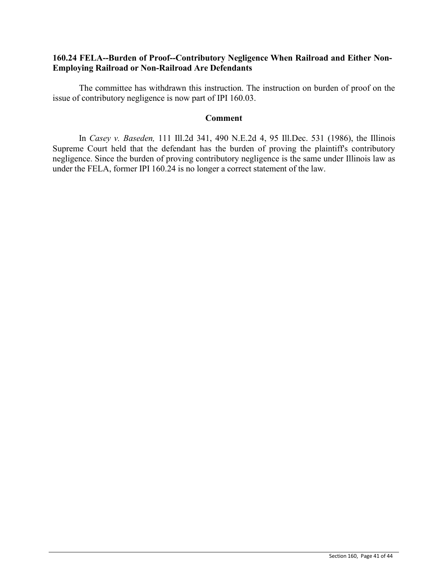## **160.24 FELA--Burden of Proof--Contributory Negligence When Railroad and Either Non-Employing Railroad or Non-Railroad Are Defendants**

The committee has withdrawn this instruction. The instruction on burden of proof on the issue of contributory negligence is now part of IPI 160.03.

## **Comment**

In *Casey v. Baseden,* 111 Ill.2d 341, 490 N.E.2d 4, 95 Ill.Dec. 531 (1986), the Illinois Supreme Court held that the defendant has the burden of proving the plaintiff's contributory negligence. Since the burden of proving contributory negligence is the same under Illinois law as under the FELA, former IPI 160.24 is no longer a correct statement of the law.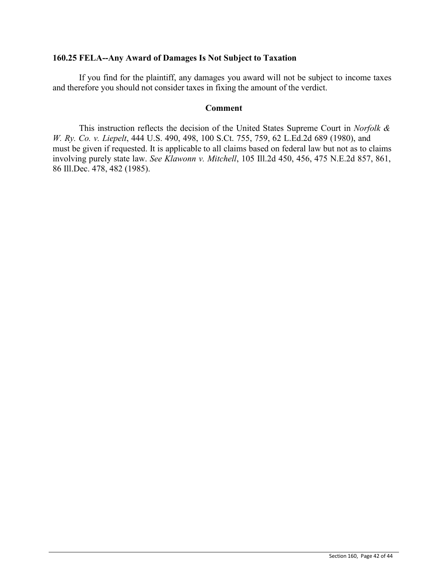## **160.25 FELA--Any Award of Damages Is Not Subject to Taxation**

If you find for the plaintiff, any damages you award will not be subject to income taxes and therefore you should not consider taxes in fixing the amount of the verdict.

## **Comment**

This instruction reflects the decision of the United States Supreme Court in *Norfolk & W. Ry. Co. v. Liepelt*, 444 U.S. 490, 498, 100 S.Ct. 755, 759, 62 L.Ed.2d 689 (1980), and must be given if requested. It is applicable to all claims based on federal law but not as to claims involving purely state law. *See Klawonn v. Mitchell*, 105 Ill.2d 450, 456, 475 N.E.2d 857, 861, 86 Ill.Dec. 478, 482 (1985).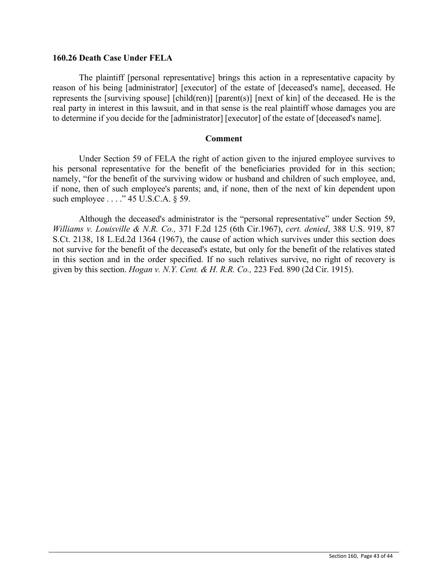## **160.26 Death Case Under FELA**

The plaintiff [personal representative] brings this action in a representative capacity by reason of his being [administrator] [executor] of the estate of [deceased's name], deceased. He represents the [surviving spouse] [child(ren)] [parent(s)] [next of kin] of the deceased. He is the real party in interest in this lawsuit, and in that sense is the real plaintiff whose damages you are to determine if you decide for the [administrator] [executor] of the estate of [deceased's name].

## **Comment**

Under Section 59 of FELA the right of action given to the injured employee survives to his personal representative for the benefit of the beneficiaries provided for in this section; namely, "for the benefit of the surviving widow or husband and children of such employee, and, if none, then of such employee's parents; and, if none, then of the next of kin dependent upon such employee . . . ." 45 U.S.C.A. § 59.

Although the deceased's administrator is the "personal representative" under Section 59, *Williams v. Louisville & N.R. Co.,* 371 F.2d 125 (6th Cir.1967), *cert. denied*, 388 U.S. 919, 87 S.Ct. 2138, 18 L.Ed.2d 1364 (1967), the cause of action which survives under this section does not survive for the benefit of the deceased's estate, but only for the benefit of the relatives stated in this section and in the order specified. If no such relatives survive, no right of recovery is given by this section. *Hogan v. N.Y. Cent. & H. R.R. Co.,* 223 Fed. 890 (2d Cir. 1915).